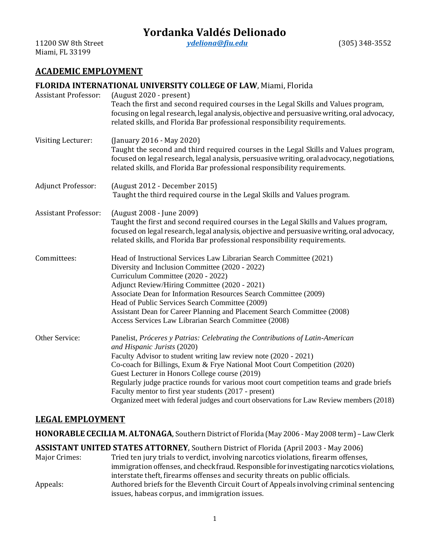# **Yordanka Valdés Delionado**

11200 SW 8th Street *[ydeliona@fiu.edu](mailto:ydeliona@fiu.edu)* (305) 348-3552 Miami, FL 33199

# **ACADEMIC EMPLOYMENT**

### **FLORIDA INTERNATIONAL UNIVERSITY COLLEGE OF LAW**, Miami, Florida

| <b>Assistant Professor:</b> | (August 2020 - present)<br>Teach the first and second required courses in the Legal Skills and Values program,<br>focusing on legal research, legal analysis, objective and persuasive writing, oral advocacy,<br>related skills, and Florida Bar professional responsibility requirements.                                                                                                                                                                                                                                                                       |
|-----------------------------|-------------------------------------------------------------------------------------------------------------------------------------------------------------------------------------------------------------------------------------------------------------------------------------------------------------------------------------------------------------------------------------------------------------------------------------------------------------------------------------------------------------------------------------------------------------------|
| Visiting Lecturer:          | (January 2016 - May 2020)<br>Taught the second and third required courses in the Legal Skills and Values program,<br>focused on legal research, legal analysis, persuasive writing, oral advocacy, negotiations,<br>related skills, and Florida Bar professional responsibility requirements.                                                                                                                                                                                                                                                                     |
| Adjunct Professor:          | (August 2012 - December 2015)<br>Taught the third required course in the Legal Skills and Values program.                                                                                                                                                                                                                                                                                                                                                                                                                                                         |
| <b>Assistant Professor:</b> | (August 2008 - June 2009)<br>Taught the first and second required courses in the Legal Skills and Values program,<br>focused on legal research, legal analysis, objective and persuasive writing, oral advocacy,<br>related skills, and Florida Bar professional responsibility requirements.                                                                                                                                                                                                                                                                     |
| Committees:                 | Head of Instructional Services Law Librarian Search Committee (2021)<br>Diversity and Inclusion Committee (2020 - 2022)<br>Curriculum Committee (2020 - 2022)<br>Adjunct Review/Hiring Committee (2020 - 2021)<br>Associate Dean for Information Resources Search Committee (2009)<br>Head of Public Services Search Committee (2009)<br>Assistant Dean for Career Planning and Placement Search Committee (2008)<br>Access Services Law Librarian Search Committee (2008)                                                                                        |
| Other Service:              | Panelist, Próceres y Patrias: Celebrating the Contributions of Latin-American<br>and Hispanic Jurists (2020)<br>Faculty Advisor to student writing law review note (2020 - 2021)<br>Co-coach for Billings, Exum & Frye National Moot Court Competition (2020)<br>Guest Lecturer in Honors College course (2019)<br>Regularly judge practice rounds for various moot court competition teams and grade briefs<br>Faculty mentor to first year students (2017 - present)<br>Organized meet with federal judges and court observations for Law Review members (2018) |

## **LEGAL EMPLOYMENT**

**HONORABLE CECILIA M. ALTONAGA**, Southern District of Florida (May 2006 - May 2008 term) – LawClerk

**ASSISTANT UNITED STATES ATTORNEY**, Southern District of Florida (April 2003 - May 2006)

| Major Crimes: | Tried ten jury trials to verdict, involving narcotics violations, firearm offenses,        |
|---------------|--------------------------------------------------------------------------------------------|
|               | immigration offenses, and check fraud. Responsible for investigating narcotics violations, |
|               | interstate theft, firearms offenses and security threats on public officials.              |
| Appeals:      | Authored briefs for the Eleventh Circuit Court of Appeals involving criminal sentencing    |
|               | issues, habeas corpus, and immigration issues.                                             |